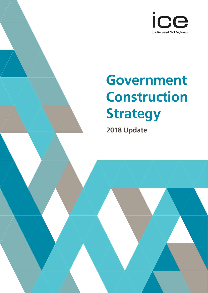

# **Government Construction Strategy**

**2018 Update**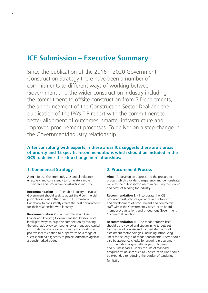# **ICE Submission – Executive Summary**

Since the publication of the 2016 – 2020 Government Construction Strategy there have been a number of commitments to different ways of working between Government and the wider construction industry including the commitment to offsite construction from 5 Departments, the announcement of the Construction Sector Deal and the publication of the IPA's TIP report with the commitment to better alignment of outcomes, smarter infrastructure and improved procurement processes. To deliver on a step change in the Government/Industry relationship.

# **After consulting with experts in these areas ICE suggests there are 5 areas of priority and 12 specific recommendations which should be included in the GCS to deliver this step change in relationships:-**

# **1. Commercial Strategy**

**Aim:** - To use Government's substantial influence effectively and consistently to stimulate a more sustainable and productive construction industry.

**Recommendation 1:** - To enable industry to evolve, Government should seek to adopt the 6 commercial principles set out in the Project 13 Commercial Handbook to consistently create the best environment for their relationship with industry.

**Recommendation 2:** - In their role as an Asset Owner and Investor, Government should seek more intelligent ways to organise competition by moving the emphasis away competing lowest tendered capital cost to demonstrate value. Instead incorporating a positive incentivisation to outperform on a range of success criteria aligned with project outcomes against a benchmarked budget.

# **2. Procurement Process**

**Aim:** - To develop an approach to the procurement process which provides transparency and demonstrates value to the public sector whilst minimising the burden and costs of bidding for industry.

**Recommendation 3:** - Incorporate the ICE produced best practice guidance in the training and development of procurement and commercial staff within the Government Construction Board member organisations and throughout Government Commercial Function.

**Recommendation 4:** - The tender process itself should be reviewed and streamlining targets set for the use of concise and focused standardised assessment methodologies, including introducing limits to the length of tender documents. There should also be assurance checks for ensuring procurement documentation aligns with project outcomes and business cases. Finally the use of standard prequalification sites such as Construction Line should be expanded to reducing the burden of tendering for SMEs.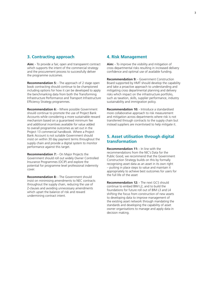# **3. Contracting approach**

**Aim:** - To provide a fair, open and transparent contract which supports the intent of the commercial strategy and the procurement process to successfully deliver the programme outcomes.

**Recommendation 5:** - The approach of 2 stage open book contracting should continue to be championed including options for how it can be developed to apply the benchmarking data from both the Transforming Infrastructure Performance and Transport Infrastructure Efficiency Strategy programmes.

**Recommendation 6:** - Where possible Government should continue to promote the use of Project Bank Accounts while considering a more sustainable reward mechanism based on a guaranteed minimum fee and additional incentives available for value added to overall programme outcomes as set out in the Project 13 commercial handbook. Where a Project Bank Account is not suitable Government should insist on within 30 day payment terms throughout the supply chain and provide a digital system to monitor performance against this target.

**Recommendation 7:** - On Major Projects the Government should roll out widely Owner Controlled Insurance Programmes (OCIP) and explore the potential for programme level professional indemnity cover.

**Recommendation 8:** - The Government should insist on minimising amendments to NEC contracts throughout the supply chain, reducing the use of Z-clauses and avoiding unnecessary amendments which upset the balance of risk and reward undermining contract intent.

## **4. Risk Management**

**Aim:** - To improve the visibility and mitigation of cross departmental risks resulting in increased delivery confidence and optimal use of available funding.

**Recommendation 9:** - Government Construction Board supported by HMT should develop the capability and take a proactive approach to understanding and mitigating cross departmental planning and delivery risks which impact on the infrastructure portfolio, such as taxation, skills, supplier performance, industry sustainability and immigration policy.

**Recommendation 10:** - Introduce a standardised more collaborative approach to risk measurement and mitigation across departments where risk is not transferred through contracts to the supply chain but instead suppliers are incentivised to help mitigate it.

# **5. Asset utilisation through digital transformation**

**Recommendation 11:** - In line with the recommendations from the NIC's Data for the Public Good, we recommend that the Government Construction Strategy builds on this by formally recognising asset data as an asset in its own right – putting in place steps to value and maintain it appropriately to achieve best outcomes for users for the full life of the asset

**Recommendation 12:** - The next GCS should continue to embed BIM L2, and to build the foundations for future roll out of BIM L3 and L4 shifting the focus from construction of new assets to developing data to improve management of the existing asset network through mandating the standards and developing the capability of asset owner organisations to manage and apply data in decision making.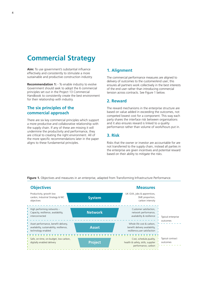# **Commercial Strategy**

**Aim:** To use government's substantial influence effectively and consistently to stimulate a more sustainable and productive construction industry.

**Recommendation 1:** - To enable industry to evolve Government should seek to adopt the 6 commercial principles set out in the Project 13 Commercial Handbook to consistently create the best environment for their relationship with industry.

# **The six principles of the commercial approach**

There are six key commercial principles which support a more productive and collaborative relationship with the supply chain. If any of these are missing it will undermine the productivity and performance, they are critical to creating the right environment. All of the more specific recommendations later in the paper aligns to these fundamental principles.

# **1. Alignment**

The commercial performance measures are aligned to delivery of outcomes to the customer/end user; this ensures all partners work collectively in the best interests of the end user rather than introducing commercial tension across contracts. See Figure 1 below.

# **2. Reward**

The reward mechanisms in the enterprise structure are based on value added in exceeding the outcomes, not competed lowest cost for a component. This way each party shares the interface risk between organisations and it also ensures reward is linked to a quality performance rather than volume of work/hours put in.

# **3. Risk**

Risks that the owner or investor are accountable for are not transferred to the supply chain, instead all parties in the enterprise are given incentives and potential reward based on their ability to mitigate the risks.



Figure 1. Objectives and measures in an enterprise, adapted from Transforming Infrastructure Performance.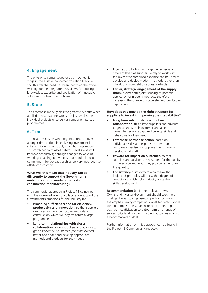# **4. Engagement**

The enterprise comes together at a much earlier stage in the asset enhancement/creation lifecycle; shortly after the need has been identified the owner will engage the Integrator. This allows for pooling knowledge, expertise and application of innovative solutions in solving the problem.

# **5. Scale**

The enterprise model yields the greatest benefits when applied across asset networks not just small scale individual projects or to deliver component parts of programmes.

## **6. Time**

The relationships between organisations last over a longer time period, incentivising investment in skills and tailoring of supply chain business models. This combined with asset network level scope will improve productivity through changes to ways of working; enabling innovations that require long term commitment for payback such as delivery methods like offsite construction.

#### **What will this mean that industry can do differently to support the Government's ambitions around modern methods of construction/manufacturing?**

The commercial approach in Project 13 combined with the increased levels of collaboration support the Government's ambitions for the industry by:

- **Providing sufficient scope for efficiency, productivity and innovation,** so that suppliers can invest in more productive methods of construction which will pay off across a larger programme.
- **Long-term relationships with closer collaboration,** allows suppliers and advisors to get to know their customer (the asset owner) better and adapt and develop appropriate methods and products for their needs.
- **Integration,** by bringing together advisors and different levels of suppliers jointly to work with the owner the combined expertise can be used to develop and deploy modern methods rather than introducing competition across contracts.
- **Earlier, strategic engagement of the supply chain,** allows better joint scoping of potential application of modern methods, therefore increasing the chance of successful and productive deployment.

#### **How does this provide the right structure for suppliers to invest in improving their capabilities?**

- **Long term relationships with closer collaboration,** this allows suppliers and advisors to get to know their customer (the asset owner) better and adapt and develop skills and behaviours for their needs.
- **Enterprise partner selection,** based on individual's skills and expertise rather than company expertise, so suppliers invest more in developing all staff.
- **Reward for impact on outcomes,** so that suppliers and advisors are rewarded for the quality of the service and input they provide rather than the quantity.
- **Consistency,** asset owners who follow the Project 13 principles will act with a degree of consistency which helps industry focus their skills development.

**Recommendation 2:** - In their role as an Asset Owner and Investor Government should seek more intelligent ways to organise competition by moving the emphasis away competing lowest tendered capital cost to demonstrate value. Instead incorporating a positive incentivisation to outperform on a range of success criteria aligned with project outcomes against a benchmarked budget.

Further information on this approach can be found in the Project 13 Commercial Handbook.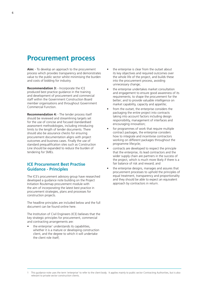# **Procurement process**

**Aim:** - To develop an approach to the procurement process which provides transparency and demonstrates value to the public sector whilst minimising the burden and costs of bidding for industry.

**Recommendation 3:** - Incorporate the ICE produced best practice guidance in the training and development of procurement and commercial staff within the Government Construction Board member organisations and throughout Government Commercial Function.

**Recommendation 4:** - The tender process itself should be reviewed and streamlining targets set for the use of concise and focused standardised assessment methodologies, including introducing limits to the length of tender documents. There should also be assurance checks for ensuring procurement documentation aligns with project outcomes and business cases. Finally the use of standard prequalification sites such as Construction Line should be expanded to reduce the burden of tendering for SMEs.

# **ICE Procurement Best Practise Guidance - Principles**

The ICE's procurement advisory group have researched developed a guidance note building on the Project Initiation Routemap procurement module with the aim of incorporating the latest best practice in procurement strategies, plans and processes for construction projects.

The headline principles are included below and the full document can be found online here.

The Institution of Civil Engineers (ICE) believes that the key strategic principles for procurement, commercial and contracting arrangements are:

 $\bullet$  the enterprise<sup>1</sup> understands its capabilities, whether it is a mature or developing construction client, and the degree to which it will undertake the client role itself;

- the enterprise is clear from the outset about its key objectives and required outcomes over the whole life of the project, and builds these into the procurement process, avoiding unnecessary change;
- the enterprise undertakes market consultation and engagement to ensure good awareness of its requirements; to shape the procurement for the better; and to provide valuable intelligence on market capability, capacity and appetite;
- from the outset, the enterprise considers the packaging the entire project into contracts taking into account factors including design responsibility, management of interfaces and encouraging innovation;
- for programmes of work that require multiple contract packages, the enterprise considers how to integrate and incentivise contractors working on different packages throughout the programme lifecycle;
- contracts are developed to respect the principle that the enterprise, its lead contractors and the wider supply chain are partners in the success of the project, which is much more likely if there is a fair balance of risk and reward; and
- the enterprise designs, manages and assures that procurement processes to uphold the principles of equal treatment, transparency and proportionality and they should be able to expect an equivalent approach by contractors in return.

<sup>1</sup> This guidance note uses the term 'enterprise' to refer to the client body. It applies mainly to public sector Contracting Authorities, but is also relevant to private sector construction clients.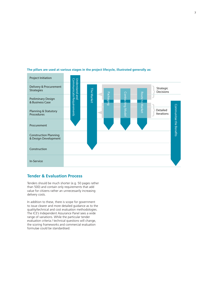

**The pillars are used at various stages in the project lifecycle, illustrated generally as:**

# **Tender & Evaluation Process**

Tenders should be much shorter (e.g. 50 pages rather than 500) and contain only requirements that add value for citizens rather an unnecessarily increasing delivery costs.

In addition to these, there is scope for government to issue clearer and more detailed guidance as to the quality/technical and cost evaluation methodologies. The ICE's Independent Assurance Panel sees a wide range of variations. While the particular tender evaluation criteria / technical questions will change, the scoring frameworks and commercial evaluation formulae could be standardised.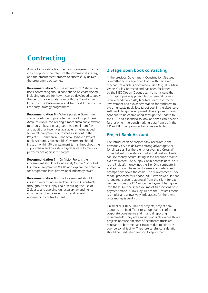# **Contracting**

**Aim:** - To provide a fair, open and transparent contract which supports the intent of the commercial strategy and the procurement process to successfully deliver the programme outcomes.

**Recommendation 5:** - The approach of 2 stage open book contracting should continue to be championed including options for how it can be developed to apply the benchmarking data from both the Transforming Infrastructure Performance and Transport Infrastructure Efficiency Strategy programmes.

**Recommendation 6:** - Where possible Government should continue to promote the use of Project Bank Accounts while considering a more sustainable reward mechanism based on a guaranteed minimum fee and additional incentives available for value added to overall programme outcomes as set out in the Project 13 Commercial Handbook. Where a Project Bank Account is not suitable Government should insist on within 30 day payment terms throughout the supply chain and provide a digital system to monitor performance against this target.

**Recommendation 7:** - On Major Projects the Government should roll out widely Owner Controlled Insurance Programmes (OCIP) and explore the potential for programme level professional indemnity cover.

**Recommendation 8:** - The Government should insist on minimising amendments to NEC contracts throughout the supply chain, reducing the use of Z-clauses and avoiding unnecessary amendments which upset the balance of risk and reward undermining contract intent.

## **2 Stage open book contracting**

In the previous Government Construction Strategy committed to 2 stage open book with pain/gain mechanism which is now widely used (e.g. HS2 Main Works Civils Contracts) and has been facilitated by the NEC Option C contract. It's not always the most appropriate approach but in general it does reduce tendering costs, facilitates early contractor involvement and avoids temptation for tenderers to bid an unsustainably low target cost in the absence of sufficient design development. This approach should continue to be championed through the update to the GCS and expanded to look at how it can develop further when the benchmarking data from both the TIP and TIEs programmes becomes available.

## **Project Bank Accounts**

The introduction of project bank accounts in the previous GCS has delivered strong advantages for for all parties. For the client (for example Crossrail) it has helped understanding of actual cost as clients can see money accumulating in the account if WIP is over estimated. The Supply Chain benefits because it is the Project's money, not the Tier One contractor's and so it should be easier to ensure an orderly and prompt flow down the chain. The 'Government/Citex' model proposed for London 2012 was flawed, in that it required a second approval from the client for each payment from the PBA (once the Payment had gone into the PBA) - the sheer volume of transactions post payment made it unwieldy. Hence the Crossrail model is simpler and allows very little access for the client once money is paid in.

On smaller (£10-50 million) projects, project bank accounts can be difficult to set up due to conflicting corporate governance and financial reporting requirements. They are almost impossible on healthcare projects because directors of healthcare trusts are reluctant to become bank trustees due to concerns over personal liability. Therefore careful consideration should be used when seeking to apply them.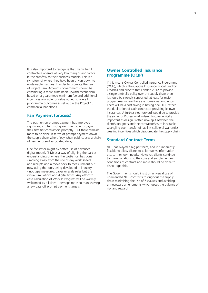It is also important to recognise that many Tier 1 contractors operate at very low margins and factor in the cashfow to their business models. This is a symptom of where they have been driven down to unstainable margins. In order to promote the use of Project Bank Accounts Government should be considering a more sustainable reward mechanism based on a guaranteed minimum fee and additional incentives available for value added to overall programme outcomes as set out in the Project 13 commercial handbook.

# **Fair Payment (process)**

The position on prompt payment has improved significantly in terms of government clients paying their first tier contractors promptly. But there remains more to be done in terms of prompt payment down the supply chain where 'pay when paid' causes a chain of payments and associated delay.

One facilitator might by better use of advanced digital models (BIM) as a way of aligning the parties' understanding of where the cost/effort has gone - moving away from the use of day work sheets and receipts and a move back to measurement but now using the tools being developed in industry - not tape measures, paper or scale rules but the virtual simulations and digital twins. Any effort to ease calculation of Work In Progress will be warmly welcomed by all sides – perhaps more so than shaving a few days off prompt payment targets.

# **Owner Controlled Insurance Programme (OCIP)**

If this means Owner Controlled Insurance Programme (OCIP), which is the Captive Insurance model used by Crossrail and prior to that London 2012 to provide a single umbrella policy over the supply chain then it should be strongly supported, at least for major programmes where there are numerous contractors. There will be a cost saving in having one OCIP rather the duplication of each contractor providing its own insurances. A further step forward would be to provide the same for Professional Indemnity cover – vitally important as design is often now split between the client's designers and the contractor's with inevitable wrangling over transfer of liability, collateral warranties creating incentives which disaggregate the supply chain.

# **Standard Contract Terms**

NEC has played a big part here, and it is inherently flexible to allow clients to tailor works information etc. to their own needs. However, clients continue to make variations to the core and supplementary conditions of contract and more should be done to discourage this.

The Government should insist on universal use of unamended NEC contracts throughout the supply chain minimising the use of Z-clauses and avoiding unnecessary amendments which upset the balance of risk and reward.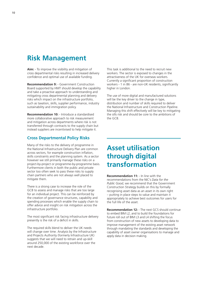# **Risk Management**

**Aim:** - To improve the visibility and mitigation of cross departmental risks resulting in increased delivery confidence and optimal use of available funding.

**Recommendation 9:** - Government Construction Board supported by HMT should develop the capability and take a proactive approach to understanding and mitigating cross departmental planning and delivery risks which impact on the infrastructure portfolio, such as taxation, skills, supplier performance, industry sustainability and immigration policy.

**Recommendation 10:** - Introduce a standardised more collaborative approach to risk measurement and mitigation across departments where risk is not transferred through contracts to the supply chain but instead suppliers are incentivised to help mitigate it.

# **Cross Departmental Policy Risks**

Many of the risks to the delivery of programme in the National Infrastructure Delivery Plan are common across sectors, for example construction inflation, skills constraints and the planning system. As a sector however we still primarily manage these risks on a project-by-project or programme-by-programme basis. Furthermore clients in both the public and private sector too often seek to pass these risks to supply chain partners who are not always well placed to mitigate them.

There is a strong case to increase the role of the GCB to assess and manage risks that are too large for an individual project. This can be reinforced by the creation of governance structures, capability and spending processes which enable the supply chain to offer advice and insight on risk mitigation across the infrastructure portfolio.

The most significant risk facing infrastructure delivery presently is the risk of a deficit in skills.

The required skills blend to deliver the UK needs will change over time. Analysis by the Infrastructure and Projects Authority (formerly Infrastructure UK) suggests that we will need to retrain and up-skill around 250,000 of the existing workforce over the next decade.

This task is additional to the need to recruit new workers. The sector is exposed to changes in the attractiveness of the UK for overseas workers. Currently a significant proportion of construction workers - 1 in 86 - are non-UK residents, significantly higher in London.

The use of more digital and manufactured solutions will be the key driver to the change in type, distribution and number of skills required to deliver the National Infrastructure and Construction Pipeline. Managing this shift effectively will be key to mitigating the sills risk and should be core to the ambitions of the GCB.

# **Asset utilisation through digital transformation**

**Recommendation 11:** - In line with the recommendations from the NIC's *Data for the Public Good*, we recommend that the Government Construction Strategy builds on this by formally recognising asset data as an asset in its own right – putting in place steps to value and maintain it appropriately to achieve best outcomes for users for the full life of the asset.

**Recommendation 12:** - The next GCS should continue to embed BIM L2, and to build the foundations for future roll out of BIM L3 and L4 shifting the focus from construction of new assets to developing data to improve management of the existing asset network through mandating the standards and developing the capability of asset owner organisations to manage and apply data in decision making.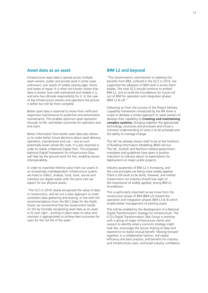## **Asset data as an asset**

Infrastructure asset data is spread across multiple asset owners, public and private (and in some cases unknown), over assets of widely varying ages, forms and states of repair. It is often not known where that data is stored, how well maintained and reliable it is, and who has ultimate responsibility for it. In the case of big infrastructure owners and operators the picture is better but still far from complete.

Better asset data is essential to move from inefficient responsive maintenance to predictive and preventative maintenance. This enables optimum asset operation through its life, and better outcomes for operators and end users.

Better information from better asset data also allows us to make better future decisions about asset delivery, operation, maintenance and use – and as such potentially lower whole-life costs. It is also essential in order to realise a National Digital Twin. The proposed National Digital Framework for Infrastructure Data will help lay the ground work for this, enabling secure interoperability.

In order to maximise lifetime value from our assets in an increasingly interdependent infrastructure system we have to collect, analyse, fund, store, secure and maintain our digital assets with the same care we expect for our physical assets.

"The GCS in 2016 clearly recognised the value of data in construction, and set out a clear approach to more consistent data gathering and sharing. In line with the recommendations from the NIC's *Data for the Public Good*, we recommend that the Government builds on this by formally recognising asset data as an asset in its own right – putting in place steps to value and maintain it appropriately to achieve best outcomes for users for the full life of the asset."

## **BIM L2 and beyond**

"The Government's commitment to realising the benefits from BIM, outlined in the GCS in 2016, has supported the adoption of BIM Level 2 across client bodies. The next GCS should continue to embed BIM L2, and to build the foundations for future roll out of BIM for operation and integration phases (BIM L3 & L4)."

Following on from the success of the Project Delivery Capability framework introduced by the IPA there is scope to develop a similar approach to asset owners to develop their capability to **Creating and maintaining complex systems,** bringing together the appropriate technology, structures and processes and infuse a common understanding of what is to be achieved and the ability to manage change.

The UK has already shown itself to be at the forefront of Building Information Modelling (BIM) roll-out. The UK, Scottish and Northern Ireland government mandates and guidelines have given a positive indication to industry about its expectations for deployment on major public projects.

Industry awareness of BIM L2 is increasing, and the core principles are being more widely applied. There is still work to be done, however, and neither Government nor industry should lose sight of the importance of widely applied, strong BIM L2 foundations.

This is particularly important as we move from the construction phase of BIM (BIM L2) toward the operation and integration phases (BIM L3 & 4) which enable better management of existing assets.

This will be enabled by the development of a National Digital Transformation Strategy for infrastructure. The ICG's Digital Transformation Task Group is working with a group of major infrastructure clients and owners to identify what a common strategy might look like, encourage the secure sharing of data and experience to realise mutual benefit. Moving forward together, in a collaborative fashion, will realise efficiency and best practice, and benefits for industry and infrastructure users, and build industry confidence.